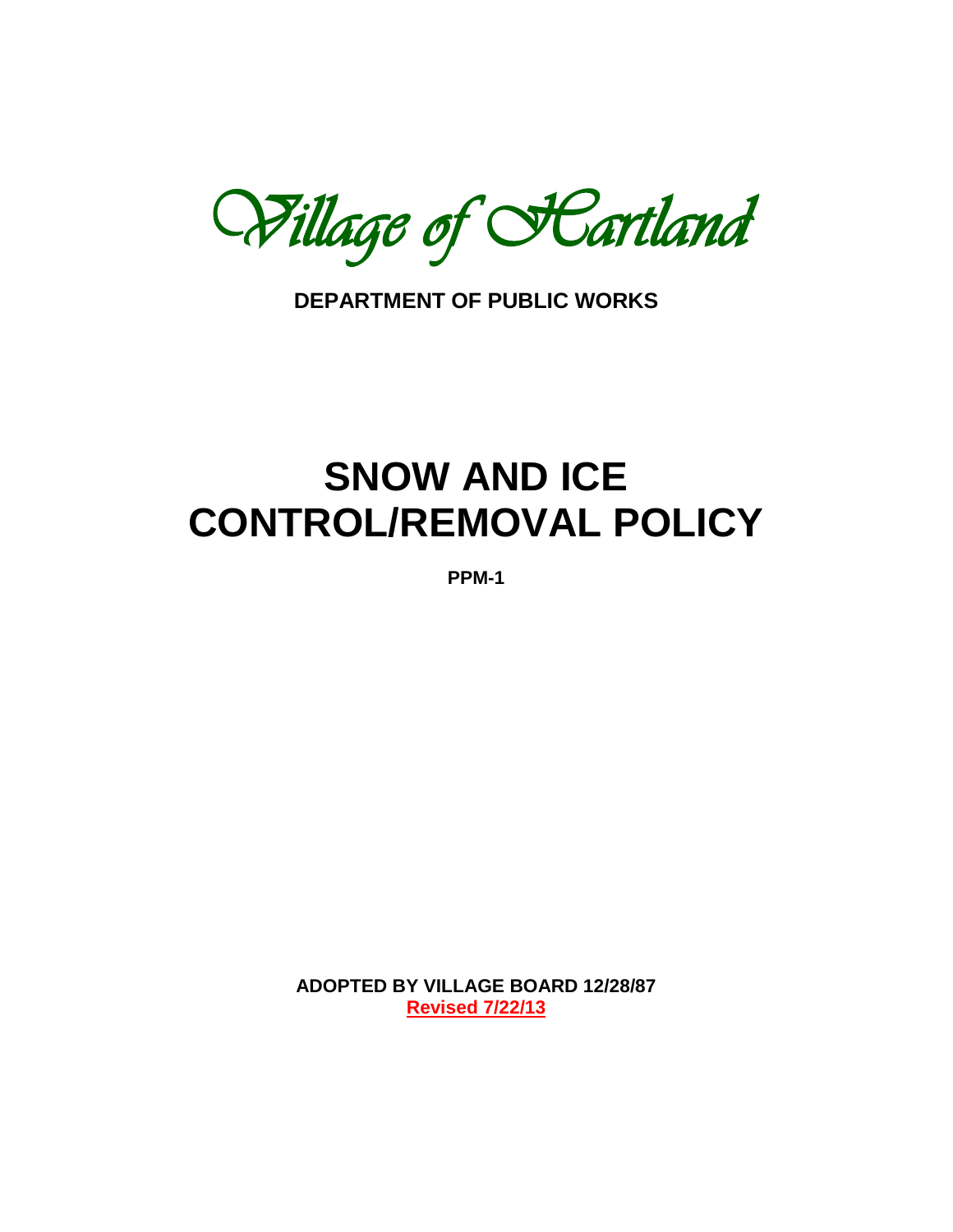Willage of **Fartland** 

**DEPARTMENT OF PUBLIC WORKS**

# **SNOW AND ICE CONTROL/REMOVAL POLICY**

**PPM-1**

**ADOPTED BY VILLAGE BOARD 12/28/87 Revised 7/22/13**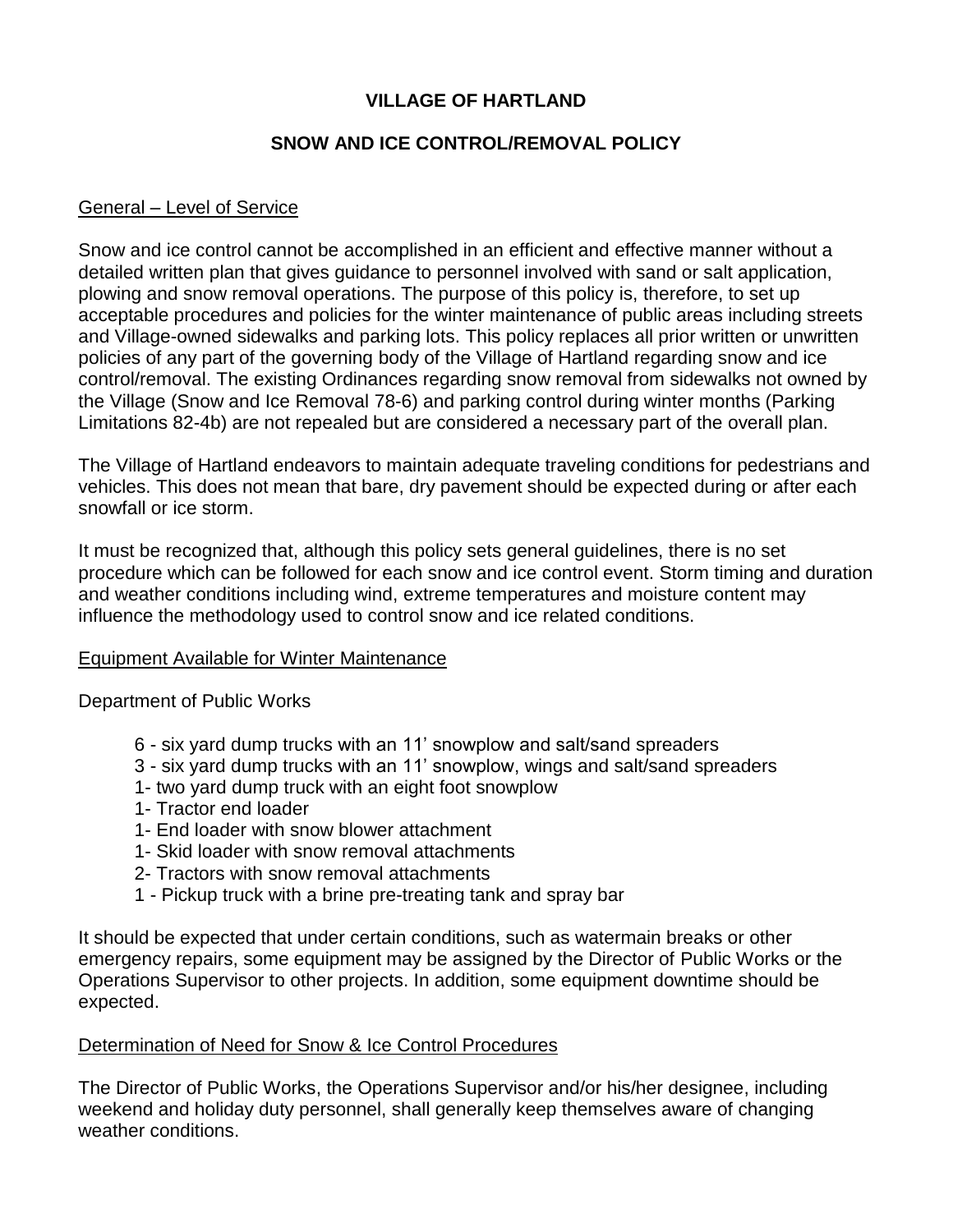# **VILLAGE OF HARTLAND**

# **SNOW AND ICE CONTROL/REMOVAL POLICY**

# General – Level of Service

Snow and ice control cannot be accomplished in an efficient and effective manner without a detailed written plan that gives guidance to personnel involved with sand or salt application, plowing and snow removal operations. The purpose of this policy is, therefore, to set up acceptable procedures and policies for the winter maintenance of public areas including streets and Village-owned sidewalks and parking lots. This policy replaces all prior written or unwritten policies of any part of the governing body of the Village of Hartland regarding snow and ice control/removal. The existing Ordinances regarding snow removal from sidewalks not owned by the Village (Snow and Ice Removal 78-6) and parking control during winter months (Parking Limitations 82-4b) are not repealed but are considered a necessary part of the overall plan.

The Village of Hartland endeavors to maintain adequate traveling conditions for pedestrians and vehicles. This does not mean that bare, dry pavement should be expected during or after each snowfall or ice storm.

It must be recognized that, although this policy sets general guidelines, there is no set procedure which can be followed for each snow and ice control event. Storm timing and duration and weather conditions including wind, extreme temperatures and moisture content may influence the methodology used to control snow and ice related conditions.

# Equipment Available for Winter Maintenance

Department of Public Works

- 6 six yard dump trucks with an 11' snowplow and salt/sand spreaders
- 3 six yard dump trucks with an 11' snowplow, wings and salt/sand spreaders
- 1- two yard dump truck with an eight foot snowplow
- 1- Tractor end loader
- 1- End loader with snow blower attachment
- 1- Skid loader with snow removal attachments
- 2- Tractors with snow removal attachments
- 1 Pickup truck with a brine pre-treating tank and spray bar

It should be expected that under certain conditions, such as watermain breaks or other emergency repairs, some equipment may be assigned by the Director of Public Works or the Operations Supervisor to other projects. In addition, some equipment downtime should be expected.

# Determination of Need for Snow & Ice Control Procedures

The Director of Public Works, the Operations Supervisor and/or his/her designee, including weekend and holiday duty personnel, shall generally keep themselves aware of changing weather conditions.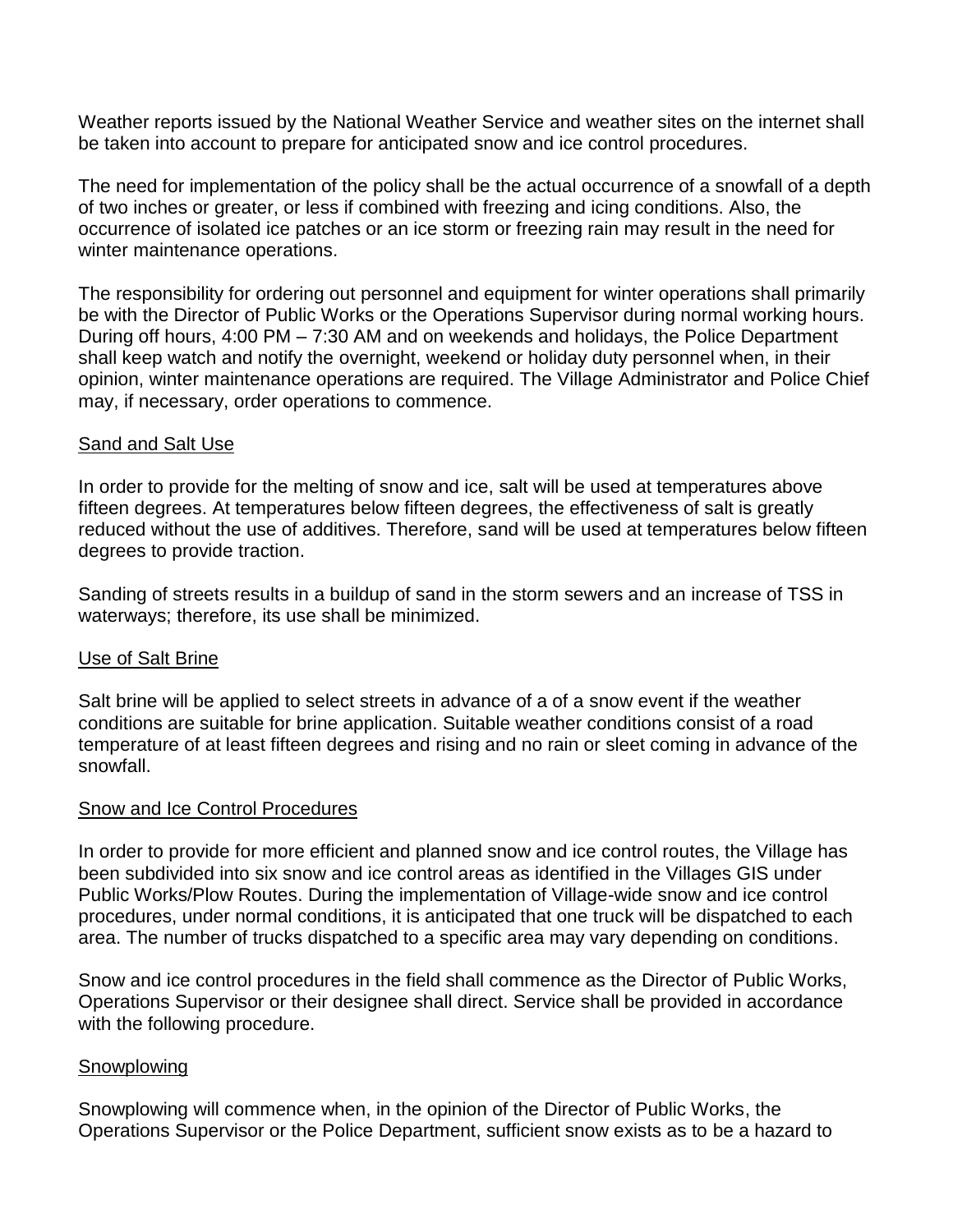Weather reports issued by the National Weather Service and weather sites on the internet shall be taken into account to prepare for anticipated snow and ice control procedures.

The need for implementation of the policy shall be the actual occurrence of a snowfall of a depth of two inches or greater, or less if combined with freezing and icing conditions. Also, the occurrence of isolated ice patches or an ice storm or freezing rain may result in the need for winter maintenance operations.

The responsibility for ordering out personnel and equipment for winter operations shall primarily be with the Director of Public Works or the Operations Supervisor during normal working hours. During off hours, 4:00 PM – 7:30 AM and on weekends and holidays, the Police Department shall keep watch and notify the overnight, weekend or holiday duty personnel when, in their opinion, winter maintenance operations are required. The Village Administrator and Police Chief may, if necessary, order operations to commence.

# Sand and Salt Use

In order to provide for the melting of snow and ice, salt will be used at temperatures above fifteen degrees. At temperatures below fifteen degrees, the effectiveness of salt is greatly reduced without the use of additives. Therefore, sand will be used at temperatures below fifteen degrees to provide traction.

Sanding of streets results in a buildup of sand in the storm sewers and an increase of TSS in waterways; therefore, its use shall be minimized.

# Use of Salt Brine

Salt brine will be applied to select streets in advance of a of a snow event if the weather conditions are suitable for brine application. Suitable weather conditions consist of a road temperature of at least fifteen degrees and rising and no rain or sleet coming in advance of the snowfall.

# Snow and Ice Control Procedures

In order to provide for more efficient and planned snow and ice control routes, the Village has been subdivided into six snow and ice control areas as identified in the Villages GIS under Public Works/Plow Routes. During the implementation of Village-wide snow and ice control procedures, under normal conditions, it is anticipated that one truck will be dispatched to each area. The number of trucks dispatched to a specific area may vary depending on conditions.

Snow and ice control procedures in the field shall commence as the Director of Public Works, Operations Supervisor or their designee shall direct. Service shall be provided in accordance with the following procedure.

# Snowplowing

Snowplowing will commence when, in the opinion of the Director of Public Works, the Operations Supervisor or the Police Department, sufficient snow exists as to be a hazard to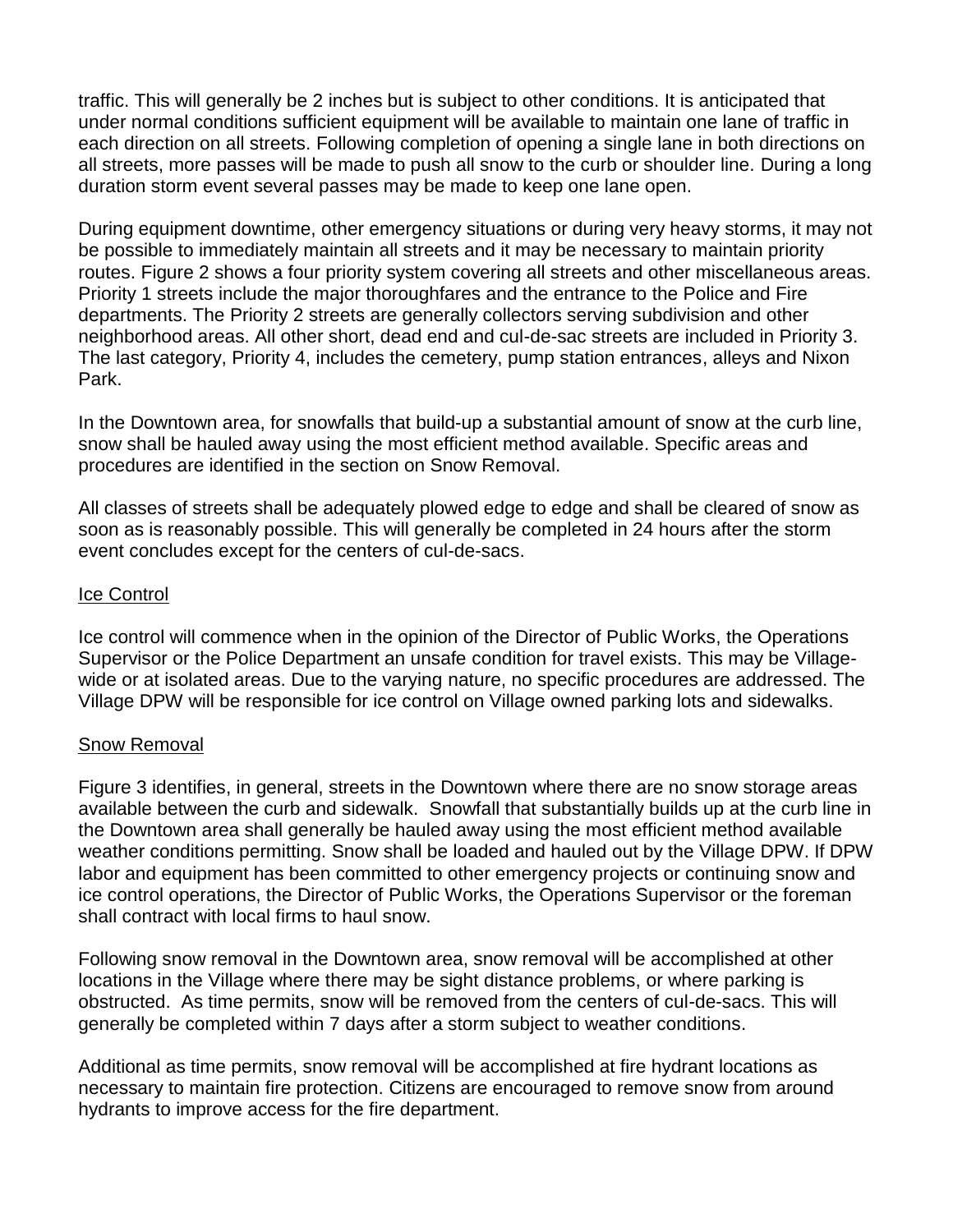traffic. This will generally be 2 inches but is subject to other conditions. It is anticipated that under normal conditions sufficient equipment will be available to maintain one lane of traffic in each direction on all streets. Following completion of opening a single lane in both directions on all streets, more passes will be made to push all snow to the curb or shoulder line. During a long duration storm event several passes may be made to keep one lane open.

During equipment downtime, other emergency situations or during very heavy storms, it may not be possible to immediately maintain all streets and it may be necessary to maintain priority routes. Figure 2 shows a four priority system covering all streets and other miscellaneous areas. Priority 1 streets include the major thoroughfares and the entrance to the Police and Fire departments. The Priority 2 streets are generally collectors serving subdivision and other neighborhood areas. All other short, dead end and cul-de-sac streets are included in Priority 3. The last category, Priority 4, includes the cemetery, pump station entrances, alleys and Nixon Park.

In the Downtown area, for snowfalls that build-up a substantial amount of snow at the curb line, snow shall be hauled away using the most efficient method available. Specific areas and procedures are identified in the section on Snow Removal.

All classes of streets shall be adequately plowed edge to edge and shall be cleared of snow as soon as is reasonably possible. This will generally be completed in 24 hours after the storm event concludes except for the centers of cul-de-sacs.

#### Ice Control

Ice control will commence when in the opinion of the Director of Public Works, the Operations Supervisor or the Police Department an unsafe condition for travel exists. This may be Villagewide or at isolated areas. Due to the varying nature, no specific procedures are addressed. The Village DPW will be responsible for ice control on Village owned parking lots and sidewalks.

#### Snow Removal

Figure 3 identifies, in general, streets in the Downtown where there are no snow storage areas available between the curb and sidewalk. Snowfall that substantially builds up at the curb line in the Downtown area shall generally be hauled away using the most efficient method available weather conditions permitting. Snow shall be loaded and hauled out by the Village DPW. If DPW labor and equipment has been committed to other emergency projects or continuing snow and ice control operations, the Director of Public Works, the Operations Supervisor or the foreman shall contract with local firms to haul snow.

Following snow removal in the Downtown area, snow removal will be accomplished at other locations in the Village where there may be sight distance problems, or where parking is obstructed. As time permits, snow will be removed from the centers of cul-de-sacs. This will generally be completed within 7 days after a storm subject to weather conditions.

Additional as time permits, snow removal will be accomplished at fire hydrant locations as necessary to maintain fire protection. Citizens are encouraged to remove snow from around hydrants to improve access for the fire department.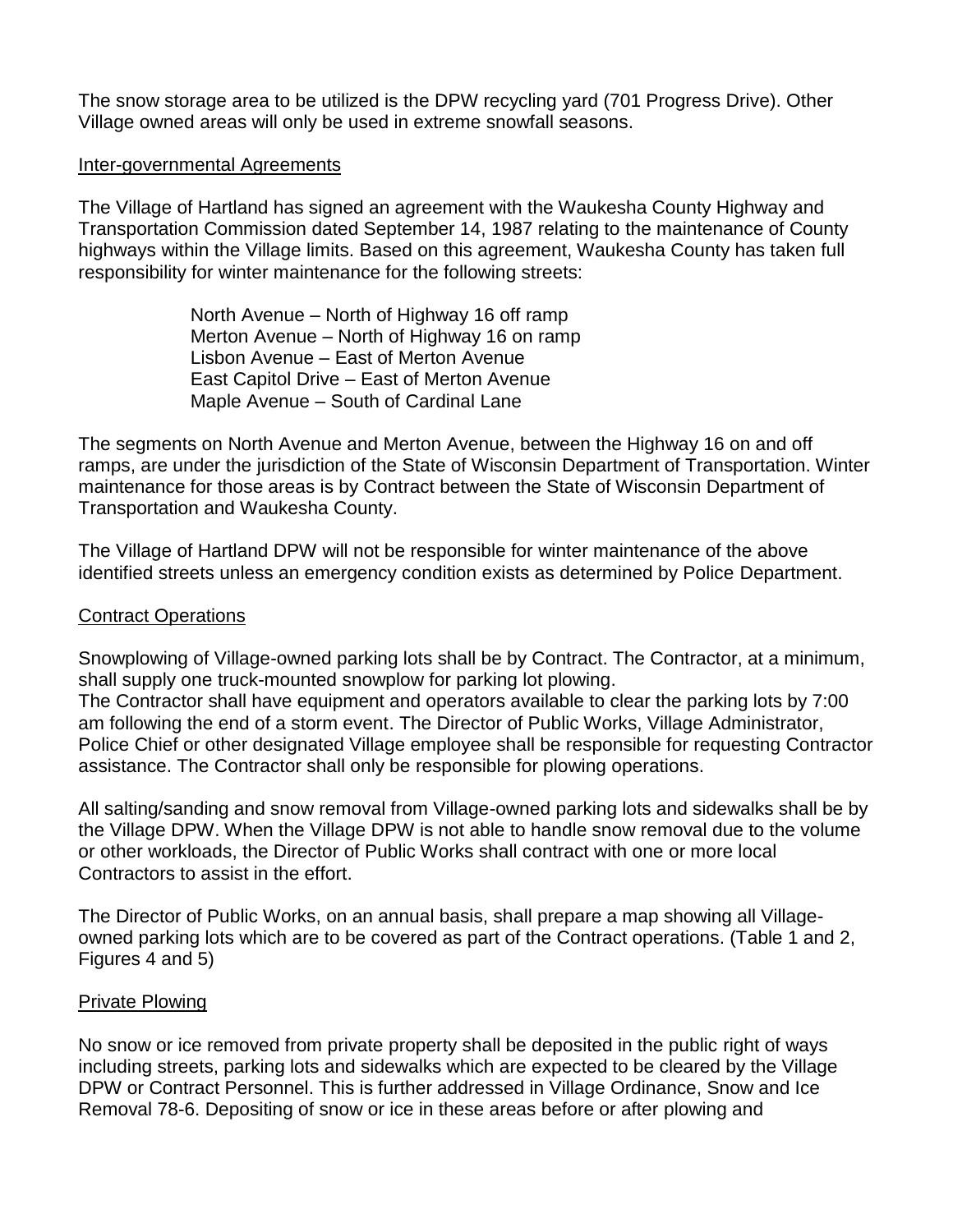The snow storage area to be utilized is the DPW recycling yard (701 Progress Drive). Other Village owned areas will only be used in extreme snowfall seasons.

#### Inter-governmental Agreements

The Village of Hartland has signed an agreement with the Waukesha County Highway and Transportation Commission dated September 14, 1987 relating to the maintenance of County highways within the Village limits. Based on this agreement, Waukesha County has taken full responsibility for winter maintenance for the following streets:

> North Avenue – North of Highway 16 off ramp Merton Avenue – North of Highway 16 on ramp Lisbon Avenue – East of Merton Avenue East Capitol Drive – East of Merton Avenue Maple Avenue – South of Cardinal Lane

assistance. The Contractor shall only be responsible for plowing operations.

The segments on North Avenue and Merton Avenue, between the Highway 16 on and off ramps, are under the jurisdiction of the State of Wisconsin Department of Transportation. Winter maintenance for those areas is by Contract between the State of Wisconsin Department of Transportation and Waukesha County.

The Village of Hartland DPW will not be responsible for winter maintenance of the above identified streets unless an emergency condition exists as determined by Police Department.

## Contract Operations

Snowplowing of Village-owned parking lots shall be by Contract. The Contractor, at a minimum, shall supply one truck-mounted snowplow for parking lot plowing. The Contractor shall have equipment and operators available to clear the parking lots by 7:00 am following the end of a storm event. The Director of Public Works, Village Administrator, Police Chief or other designated Village employee shall be responsible for requesting Contractor

All salting/sanding and snow removal from Village-owned parking lots and sidewalks shall be by the Village DPW. When the Village DPW is not able to handle snow removal due to the volume or other workloads, the Director of Public Works shall contract with one or more local Contractors to assist in the effort.

The Director of Public Works, on an annual basis, shall prepare a map showing all Villageowned parking lots which are to be covered as part of the Contract operations. (Table 1 and 2, Figures 4 and 5)

#### Private Plowing

No snow or ice removed from private property shall be deposited in the public right of ways including streets, parking lots and sidewalks which are expected to be cleared by the Village DPW or Contract Personnel. This is further addressed in Village Ordinance, Snow and Ice Removal 78-6. Depositing of snow or ice in these areas before or after plowing and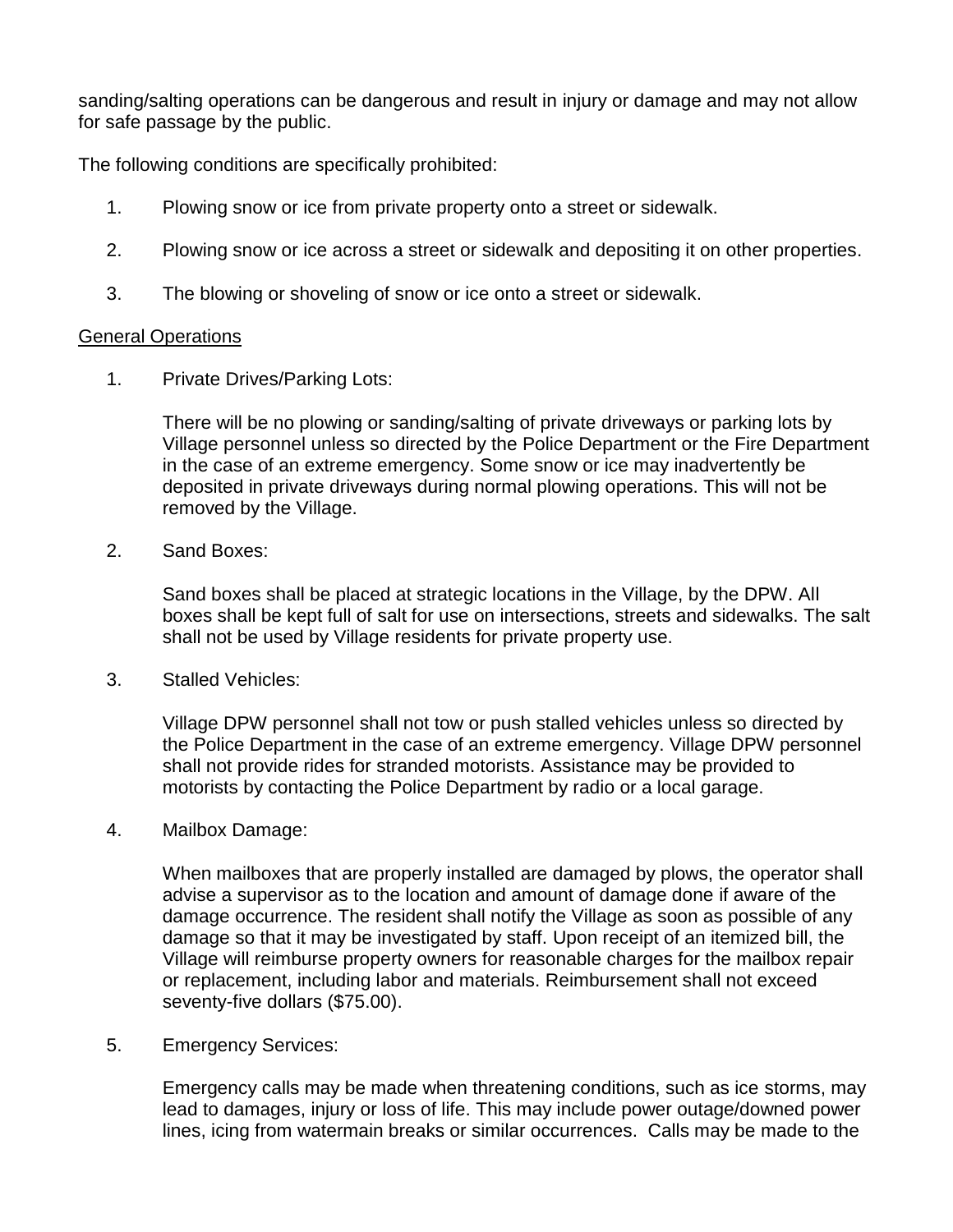sanding/salting operations can be dangerous and result in injury or damage and may not allow for safe passage by the public.

The following conditions are specifically prohibited:

- 1. Plowing snow or ice from private property onto a street or sidewalk.
- 2. Plowing snow or ice across a street or sidewalk and depositing it on other properties.
- 3. The blowing or shoveling of snow or ice onto a street or sidewalk.

#### General Operations

1. Private Drives/Parking Lots:

There will be no plowing or sanding/salting of private driveways or parking lots by Village personnel unless so directed by the Police Department or the Fire Department in the case of an extreme emergency. Some snow or ice may inadvertently be deposited in private driveways during normal plowing operations. This will not be removed by the Village.

2. Sand Boxes:

Sand boxes shall be placed at strategic locations in the Village, by the DPW. All boxes shall be kept full of salt for use on intersections, streets and sidewalks. The salt shall not be used by Village residents for private property use.

3. Stalled Vehicles:

Village DPW personnel shall not tow or push stalled vehicles unless so directed by the Police Department in the case of an extreme emergency. Village DPW personnel shall not provide rides for stranded motorists. Assistance may be provided to motorists by contacting the Police Department by radio or a local garage.

4. Mailbox Damage:

When mailboxes that are properly installed are damaged by plows, the operator shall advise a supervisor as to the location and amount of damage done if aware of the damage occurrence. The resident shall notify the Village as soon as possible of any damage so that it may be investigated by staff. Upon receipt of an itemized bill, the Village will reimburse property owners for reasonable charges for the mailbox repair or replacement, including labor and materials. Reimbursement shall not exceed seventy-five dollars (\$75.00).

5. Emergency Services:

Emergency calls may be made when threatening conditions, such as ice storms, may lead to damages, injury or loss of life. This may include power outage/downed power lines, icing from watermain breaks or similar occurrences. Calls may be made to the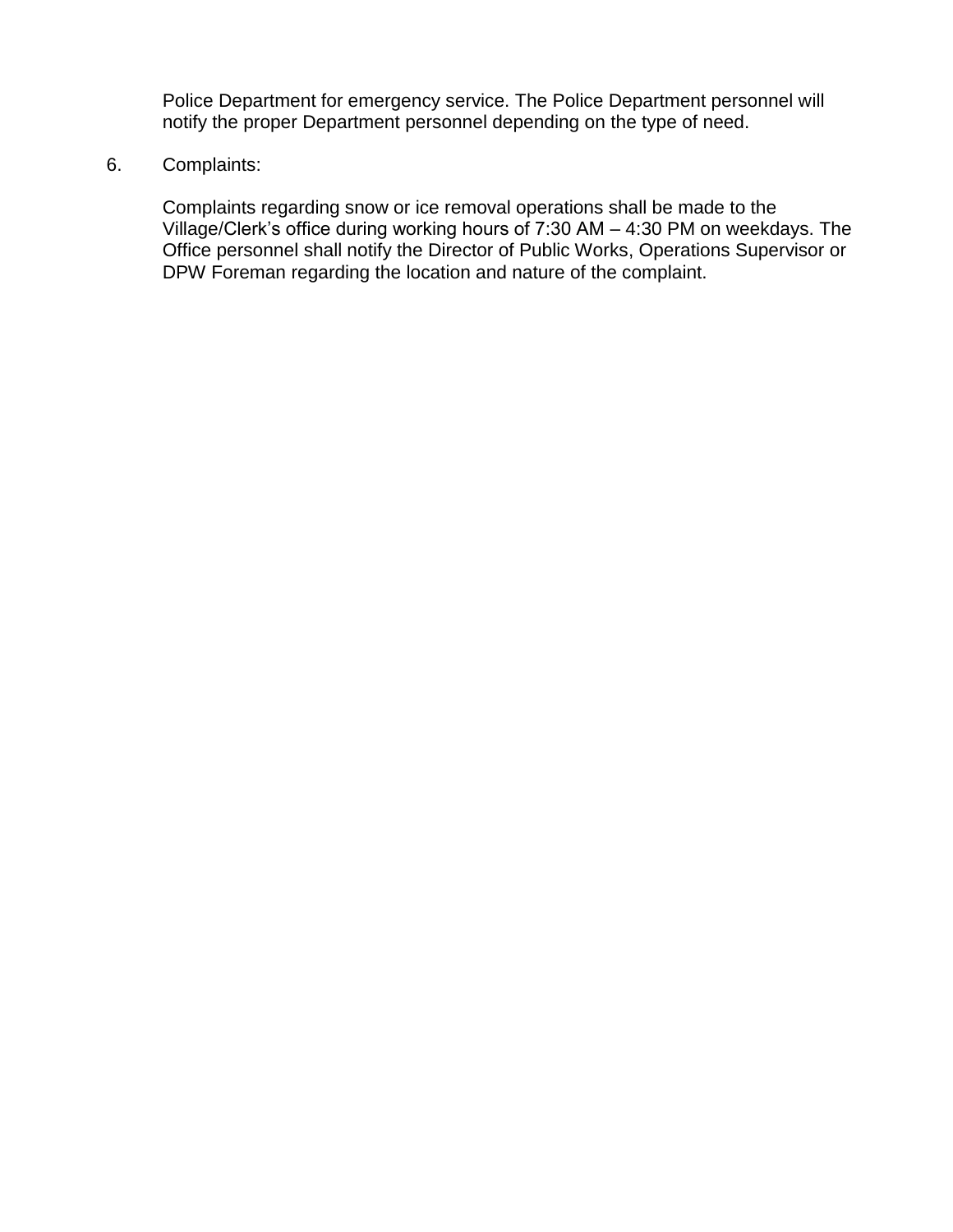Police Department for emergency service. The Police Department personnel will notify the proper Department personnel depending on the type of need.

## 6. Complaints:

Complaints regarding snow or ice removal operations shall be made to the Village/Clerk's office during working hours of 7:30 AM – 4:30 PM on weekdays. The Office personnel shall notify the Director of Public Works, Operations Supervisor or DPW Foreman regarding the location and nature of the complaint.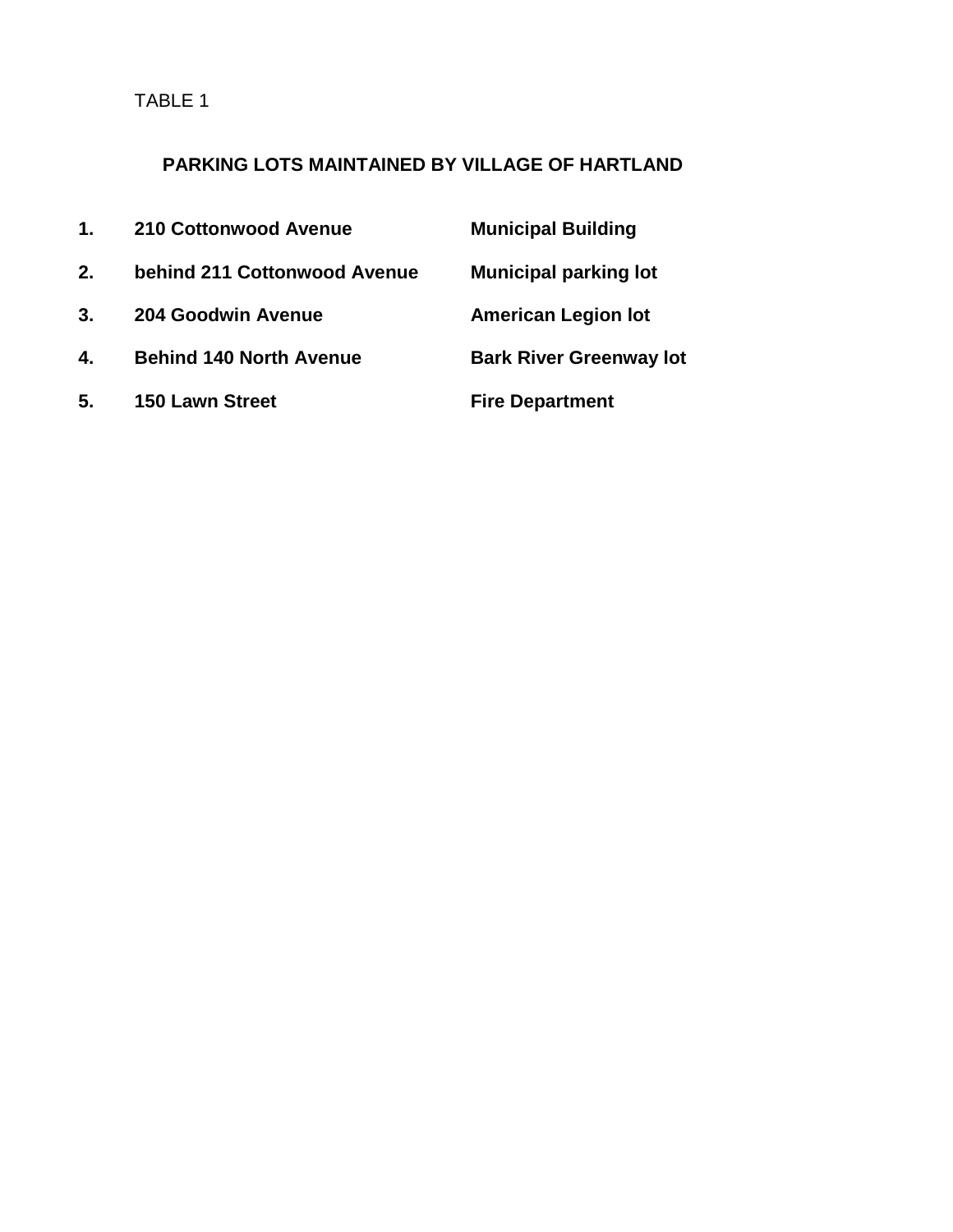TABLE 1

# **PARKING LOTS MAINTAINED BY VILLAGE OF HARTLAND**

| 1 <sub>1</sub> | 210 Cottonwood Avenue          | <b>Municipal Building</b>      |
|----------------|--------------------------------|--------------------------------|
| 2.             | behind 211 Cottonwood Avenue   | <b>Municipal parking lot</b>   |
| 3.             | 204 Goodwin Avenue             | <b>American Legion lot</b>     |
| 4.             | <b>Behind 140 North Avenue</b> | <b>Bark River Greenway lot</b> |
| 5.             | <b>150 Lawn Street</b>         | <b>Fire Department</b>         |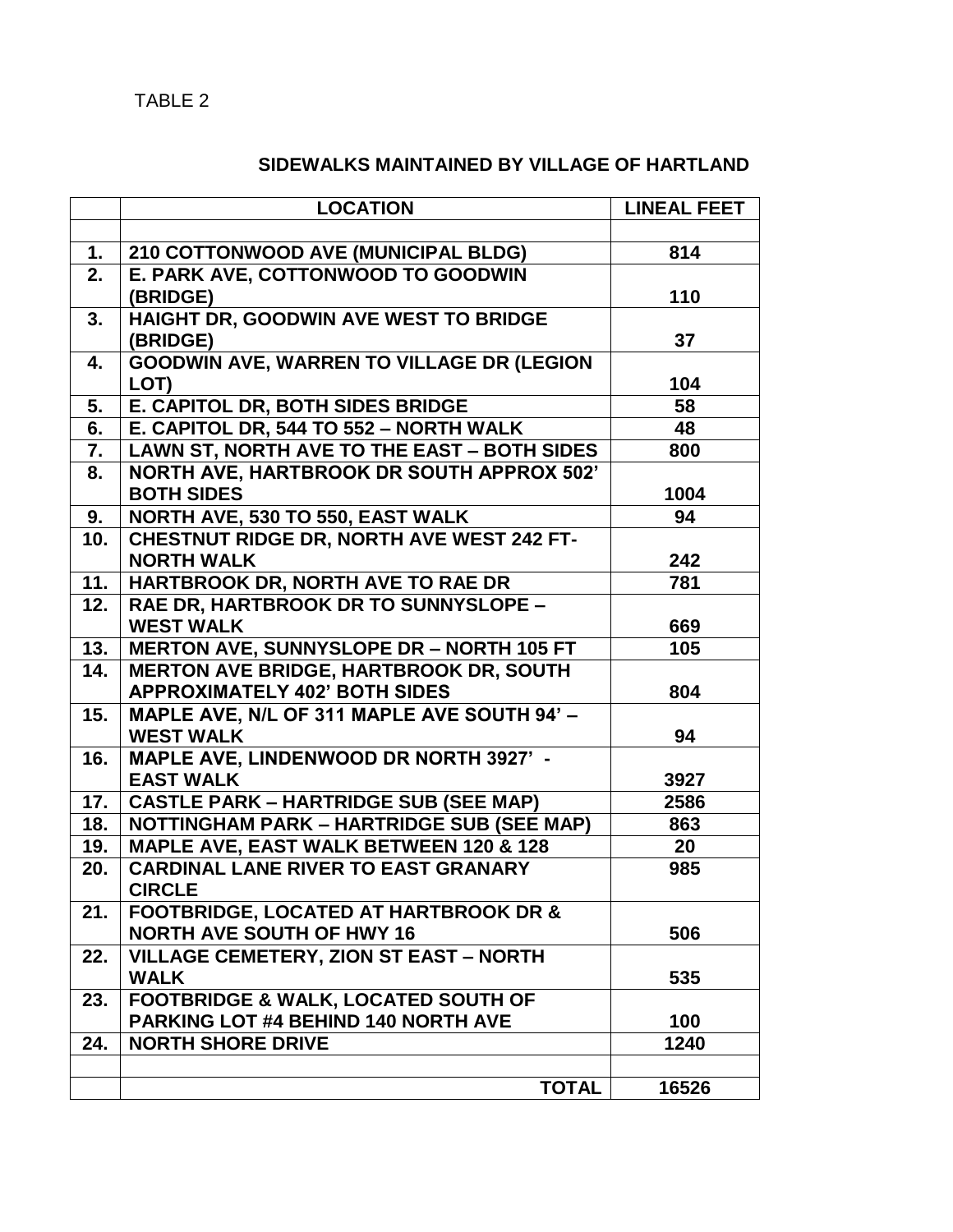# **SIDEWALKS MAINTAINED BY VILLAGE OF HARTLAND**

|                  | <b>LOCATION</b>                                  | <b>LINEAL FEET</b> |
|------------------|--------------------------------------------------|--------------------|
|                  |                                                  |                    |
| 1.               | 210 COTTONWOOD AVE (MUNICIPAL BLDG)              | 814                |
| 2.               | E. PARK AVE, COTTONWOOD TO GOODWIN               |                    |
|                  | (BRIDGE)                                         | 110                |
| 3.               | HAIGHT DR, GOODWIN AVE WEST TO BRIDGE            |                    |
|                  | (BRIDGE)                                         | 37                 |
| 4.               | <b>GOODWIN AVE, WARREN TO VILLAGE DR (LEGION</b> |                    |
|                  | LOT)                                             | 104                |
| 5.               | E. CAPITOL DR, BOTH SIDES BRIDGE                 | 58                 |
| $\overline{6}$ . | E. CAPITOL DR, 544 TO 552 - NORTH WALK           | 48                 |
| 7.               | LAWN ST, NORTH AVE TO THE EAST - BOTH SIDES      | 800                |
| 8.               | <b>NORTH AVE, HARTBROOK DR SOUTH APPROX 502'</b> |                    |
|                  | <b>BOTH SIDES</b>                                | 1004               |
| 9.               | NORTH AVE, 530 TO 550, EAST WALK                 | 94                 |
| 10.              | <b>CHESTNUT RIDGE DR, NORTH AVE WEST 242 FT-</b> |                    |
|                  | <b>NORTH WALK</b>                                | 242                |
| 11.              | HARTBROOK DR, NORTH AVE TO RAE DR                | 781                |
| 12.              | RAE DR, HARTBROOK DR TO SUNNYSLOPE -             |                    |
|                  | <b>WEST WALK</b>                                 | 669                |
| 13.              | <b>MERTON AVE, SUNNYSLOPE DR - NORTH 105 FT</b>  | 105                |
| 14.              | <b>MERTON AVE BRIDGE, HARTBROOK DR, SOUTH</b>    |                    |
|                  | <b>APPROXIMATELY 402' BOTH SIDES</b>             | 804                |
| 15.              | MAPLE AVE, N/L OF 311 MAPLE AVE SOUTH 94' -      |                    |
|                  | <b>WEST WALK</b>                                 | 94                 |
| 16.              | MAPLE AVE, LINDENWOOD DR NORTH 3927' -           |                    |
|                  | <b>EAST WALK</b>                                 | 3927               |
| 17.              | <b>CASTLE PARK – HARTRIDGE SUB (SEE MAP)</b>     | 2586               |
| 18.              | <b>NOTTINGHAM PARK - HARTRIDGE SUB (SEE MAP)</b> | 863                |
| 19.              | MAPLE AVE, EAST WALK BETWEEN 120 & 128           | 20                 |
| 20.              | <b>CARDINAL LANE RIVER TO EAST GRANARY</b>       | 985                |
|                  | <b>CIRCLE</b>                                    |                    |
| 21.              | <b>FOOTBRIDGE, LOCATED AT HARTBROOK DR &amp;</b> |                    |
|                  | <b>NORTH AVE SOUTH OF HWY 16</b>                 | 506                |
| 22.              | <b>VILLAGE CEMETERY, ZION ST EAST - NORTH</b>    |                    |
|                  | <b>WALK</b>                                      | 535                |
| 23.              | <b>FOOTBRIDGE &amp; WALK, LOCATED SOUTH OF</b>   |                    |
|                  | PARKING LOT #4 BEHIND 140 NORTH AVE              | 100                |
| 24.              | <b>NORTH SHORE DRIVE</b>                         | 1240               |
|                  |                                                  |                    |
|                  | <b>TOTAL</b>                                     | 16526              |